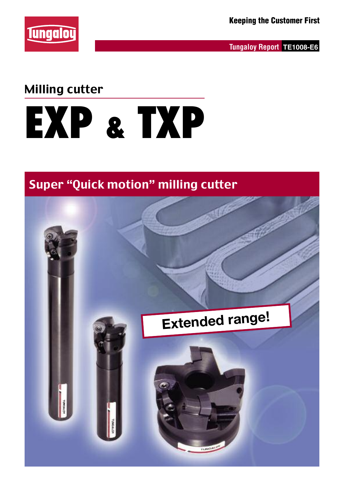

**Tungaloy Report TE1008-E6**

### Milling cutter

# **EXP & TXP**

### Super "Quick motion" milling cutter

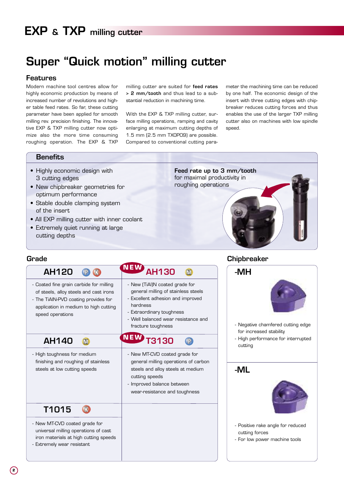## **Super "Quick motion" milling cutter**

#### **Features**

Modern machine tool centres allow for highly economic production by means of increased number of revolutions and higher table feed rates. So far, these cutting parameter have been applied for smooth milling rev. precision finishing. The innovative EXP & TXP milling cutter now optimize also the more time consuming roughing operation. The EXP & TXP milling cutter are suited for **feed rates > 2 mm/tooth** and thus lead to a substantial reduction in machining time.

With the EXP & TXP milling cutter, surface milling operations, ramping and cavity enlarging at maximum cutting depths of 1.5 mm (2.5 mm TXOP09) are possible. Compared to conventional cutting parameter the machining time can be reduced by one half. The economic design of the insert with three cutting edges with chipbreaker reduces cutting forces and thus enables the use of the larger TXP milling cutter also on machines with low spindle speed.

#### **Benefits**

- Highly economic design with 3 cutting edges
- New chipbreaker geometries for optimum performance
- Stable double clamping system of the insert
- All EXP milling cutter with inner coolant
- Extremely quiet running at large cutting depths

**Feed rate up to 3 mm/tooth** for maximal productivity in roughing operations

| Grade                                                                                                                                                                                                       |                                                                                                                                                                                                                                              | <b>Chipbreaker</b>                                     |
|-------------------------------------------------------------------------------------------------------------------------------------------------------------------------------------------------------------|----------------------------------------------------------------------------------------------------------------------------------------------------------------------------------------------------------------------------------------------|--------------------------------------------------------|
| <b>AH120</b><br>Р<br>- Coated fine grain carbide for milling<br>of steels, alloy steels and cast irons<br>- The TiAIN-PVD coating provides for<br>application in medium to high cutting<br>speed operations | NEW<br><b>AH130</b><br>M<br>- New (TiAI)N coated grade for<br>general milling of stainless steels<br>- Excellent adhesion and improved<br>hardness<br>- Extraordinary toughness<br>- Well balanced wear resistance and<br>fracture toughness | -MH<br>- Negative char<br>for increased                |
| <b>AH140</b><br>- High toughness for medium                                                                                                                                                                 | NEW<br><b>3130</b><br>$\mathbb{P}$<br>- New MT-CVD coated grade for                                                                                                                                                                          | - High performa<br>cutting                             |
| finishing and roughing of stainless<br>steels at low cutting speeds                                                                                                                                         | general milling operations of carbon<br>steels and alloy steels at medium<br>cutting speeds<br>- Improved balance between<br>wear-resistance and toughness                                                                                   | -ML                                                    |
| T1015<br>$\mathbb T$                                                                                                                                                                                        |                                                                                                                                                                                                                                              |                                                        |
| - New MT-CVD coated grade for<br>universal milling operations of cast<br>iron materials at high cutting speeds<br>- Extremely wear resistant                                                                |                                                                                                                                                                                                                                              | - Positive rake a<br>cutting forces<br>- For low power |



- Negative chamfered cutting edge for increased stability
- High performance for interrupted cutting

### **-ML**



- Positive rake angle for reduced cutting forces
- For low power machine tools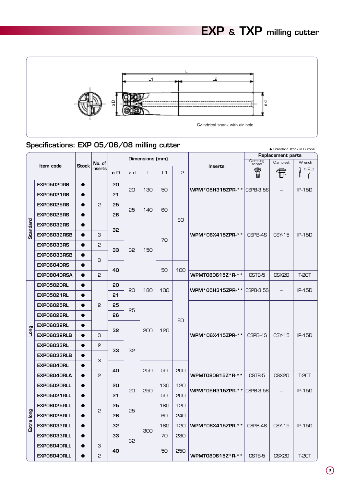

### ● Standard stock in Europe **Specifications: EXP 05/06/08 milling cutter**

|            |                    |              |         |    |    |                 |     |                |                                         | $\bullet$ ovariaara suuun in Laropo<br>Replacement parts |                   |               |  |
|------------|--------------------|--------------|---------|----|----|-----------------|-----|----------------|-----------------------------------------|----------------------------------------------------------|-------------------|---------------|--|
|            | Item code          | <b>Stock</b> | No. of  |    |    | Dimensions (mm) |     |                | Inserts                                 | Clamping<br>screw                                        | Clamp-set         | Wrench        |  |
|            |                    |              | inserts | øD | ød | L               | L1  | L <sub>2</sub> |                                         | T                                                        | 令                 |               |  |
|            | <b>EXPO5020RS</b>  | $\bullet$    |         | 20 |    |                 |     |                |                                         |                                                          |                   |               |  |
|            | <b>EXP05021RS</b>  | $\bullet$    |         | 21 | 20 | 130             | 50  |                | <b>WPM*05H315ZPR-** CSPB-3.5S</b>       |                                                          | $\qquad \qquad -$ | <b>IP-15D</b> |  |
|            | <b>EXPO6025RS</b>  | $\bullet$    | 2       | 25 |    |                 |     |                |                                         |                                                          |                   |               |  |
|            | <b>EXPO6026RS</b>  | $\bullet$    |         | 26 | 25 | 140             | 60  |                |                                         |                                                          | <b>CSY-15</b>     | <b>IP-15D</b> |  |
| Standard   | <b>EXPO6032RS</b>  | $\bullet$    |         | 32 |    |                 |     | 80             |                                         | CSPB-4S                                                  |                   |               |  |
|            | <b>EXPO6032RSB</b> | $\bullet$    | З       |    |    |                 | 70  |                | WPM*06X415ZPR-**                        |                                                          |                   |               |  |
|            | <b>EXPO6033RS</b>  | $\bullet$    | 2       | 33 | 32 | 150             |     |                |                                         |                                                          |                   |               |  |
|            | <b>EXPO6033RSB</b> | ●            | З       |    |    |                 |     |                |                                         |                                                          |                   |               |  |
|            | <b>EXPO6040RS</b>  |              |         | 40 |    |                 | 50  | 100            |                                         |                                                          |                   |               |  |
|            | <b>EXPO8040RSA</b> | $\bullet$    | 2       |    |    |                 |     |                | WPMT080615Z*R-**                        | CSTB-5                                                   | CSX <sub>20</sub> | <b>T-20T</b>  |  |
|            | <b>EXPO5020RL</b>  | $\bullet$    |         | 20 | 20 | 180             | 100 |                | <b>WPM*05H315ZPR-** CSPB-3.5S</b>       |                                                          | $\qquad \qquad -$ | $IP-15D$      |  |
|            | <b>EXPO5021RL</b>  | $\bullet$    |         | 21 |    |                 |     |                |                                         |                                                          |                   |               |  |
|            | <b>EXPO6025RL</b>  | $\bullet$    | 2       | 25 | 25 |                 |     |                |                                         |                                                          |                   |               |  |
|            | <b>EXPO6026RL</b>  | $\bullet$    |         | 26 |    |                 |     | 80             |                                         |                                                          |                   |               |  |
|            | <b>EXPO6032RL</b>  | $\bullet$    |         | 32 |    | 200             | 120 |                |                                         |                                                          |                   |               |  |
| <b>Duo</b> | <b>EXPO6032RLB</b> | $\bullet$    | З       |    |    |                 |     |                | WPM*06X415ZPR-**                        | CSPB-4S                                                  | <b>CSY-15</b>     | <b>IP-15D</b> |  |
|            | <b>EXPO6033RL</b>  | $\bullet$    | 2       | 33 | 32 |                 |     |                |                                         |                                                          |                   |               |  |
|            | <b>EXPO6033RLB</b> |              | З       |    |    |                 |     |                |                                         |                                                          |                   |               |  |
|            | <b>EXPO6040RL</b>  | $\bullet$    |         | 40 |    | 250             | 50  | 200            |                                         |                                                          |                   |               |  |
|            | <b>EXPO8040RLA</b> | $\bullet$    | 2       |    |    |                 |     |                | WPMT080615Z * R- * *                    | CSTB-5                                                   | CSX <sub>20</sub> | <b>T-20T</b>  |  |
|            | <b>EXPO5020RLL</b> | $\bullet$    |         | 20 | 20 | 250             | 130 | 120            | <b>WPM * 05H315ZPR- * *   CSPB-3.5S</b> |                                                          | $\qquad \qquad -$ | $IP-15D$      |  |
|            | <b>EXPO5021RLL</b> | $\bullet$    |         | 21 |    |                 | 50  | 200            |                                         |                                                          |                   |               |  |
|            | <b>EXPO6025RLL</b> | $\bullet$    | 2       | 25 | 25 |                 | 180 | 120            |                                         |                                                          |                   |               |  |
|            | EXPO6026RLL        | $\bullet$    |         | 26 |    |                 | 60  | 240            |                                         |                                                          |                   |               |  |
| Extra long | <b>EXPO6032RLL</b> | $\bullet$    |         | 32 |    | 300             | 180 | 120            | WPM*06X415ZPR-**                        | CSPB-4S                                                  | <b>CSY-15</b>     | IP-15D        |  |
|            | <b>EXPO6033RLL</b> | $\bullet$    |         | 33 | 32 |                 | 70  | 230            |                                         |                                                          |                   |               |  |
|            | <b>EXPO6040RLL</b> | $\bullet$    | З       | 40 |    |                 | 50  | 250            |                                         |                                                          |                   |               |  |
|            | EXPO8040RLL        | $\bullet$    | 2       |    |    |                 |     |                | WPMT080615Z*R-**                        | CSTB-5                                                   | CSX20             | <b>T-20T</b>  |  |

**3**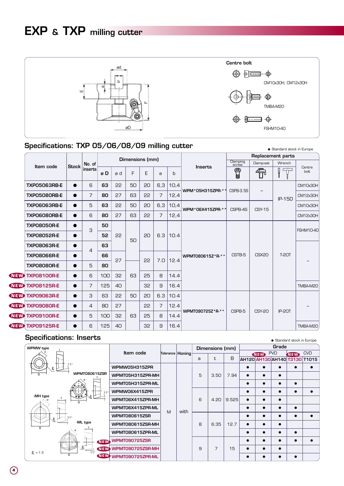

### **Specifications: TXP 05/06/08/09 milling cutter** • • • • • Standard stock in Europe

|              |                        |                |         |     |    |                 |    |     |      |                  |                   |                   | Replacement parts  |                  |
|--------------|------------------------|----------------|---------|-----|----|-----------------|----|-----|------|------------------|-------------------|-------------------|--------------------|------------------|
|              | Item code              | <b>Stock</b>   | No. of  |     |    | Dimensions (mm) |    |     |      | Inserts          | Clamping<br>screw | Clamp-set         | Wrench             |                  |
|              |                        |                | inserts | øD  | ød | F               | E  | a   | b    |                  | T                 | 希                 | $\hat{\mathsf{T}}$ | Centre<br>bolt   |
|              | <b>TXP05063RB-E</b>    | $\bullet$      | 6       | 63  | 55 | 50              | 20 | 6,3 | 10,4 | WPM*05H315ZPR-** | CSPB-3.5S         |                   |                    | CM10x30H         |
|              | <b>TXP05080RB-E</b>    | $\bullet$      | 7       | 80  | 27 | 63              | 55 | 7   | 12,4 |                  |                   |                   | $IP-15D$           | CM12x30H         |
|              | <b>TXP06063RB-E</b>    | $\bullet$      | 5       | 63  | 55 | 50              | 20 | 6,3 | 10,4 | WPM*06X415ZPR-** | CSPB-4S           | <b>CSY-15</b>     |                    | CM10x30H         |
|              | <b>TXP06080RB-E</b>    | $\bullet$      | 6       | 80  | 27 | 63              | 22 | 7   | 12,4 |                  |                   |                   |                    | CM12x30H         |
|              | <b>TXP08050R-E</b>     | ●              | 3       | 50  |    |                 |    |     |      |                  |                   |                   |                    | <b>FSHM10-40</b> |
|              | <b>TXP08052R-E</b>     | $\bullet$      |         | 52  | 22 | 50              | 20 | 6.3 | 10.4 |                  |                   |                   |                    |                  |
|              | <b>TXP08063R-E</b>     | $\bullet$<br>4 | 63      |     |    |                 |    |     |      |                  |                   |                   |                    |                  |
|              | <b>TXP08066R-E</b>     | $\bullet$      |         | 66  | 27 |                 | 22 | 7.0 | 12.4 | WPMT080615Z*R-** | CSTB-5            | CSX <sub>20</sub> | <b>T-20T</b>       |                  |
|              | <b>TXP08080R-E</b>     | $\bullet$      | 5       | 80  |    |                 |    |     |      |                  |                   |                   |                    |                  |
| <b>(NEW)</b> | <b>TXP08100R-E</b>     | $\bullet$      | 6       | 100 | 32 | 63              | 25 | 8   | 14.4 |                  |                   |                   |                    |                  |
| <b>NEW</b>   | <b>TXP08125R-E</b>     | $\bullet$      | 7       | 125 | 40 |                 | 32 | 9   | 16.4 |                  |                   |                   |                    | TMBA-M20         |
| <b>NEW</b>   | <b>TXP09063R-E</b>     | $\bullet$      | 3       | 63  | 22 | 50              | 20 | 6.3 | 10.4 |                  |                   |                   |                    |                  |
| <b>CNEW</b>  | <b>TXP09080R-E</b>     |                | 4       | 80  | 27 |                 | 22 | 7   | 12.4 |                  |                   |                   |                    |                  |
| <b>(NEW)</b> | <b>TXP09100R-E</b>     | $\bullet$      | 5       | 100 | 32 | 63              | 25 | 8   | 14.4 | WPMT090725Z*R-** | CSPB-5            | <b>CSY-20</b>     | IP-20T             |                  |
|              | <b>WEW</b> TXP09125R-E | $\bullet$      | 6       | 125 | 40 |                 | 32 | 9   | 16.4 |                  |                   |                   |                    | TMBA-M20         |

### **Specifications: Inserts** ● Standard stock in Europe

| WPMW type                           |                                    |   |                    |              | Dimensions (mm) |       |            | Grade      |            |                               |
|-------------------------------------|------------------------------------|---|--------------------|--------------|-----------------|-------|------------|------------|------------|-------------------------------|
|                                     | Item code                          |   | Tolerance   Honing |              |                 |       | <b>NEW</b> | <b>PVD</b> | <b>NEW</b> | <b>CVD</b>                    |
|                                     |                                    |   |                    | a            | t               | B     |            |            |            | AH120 AH130 AH140 T3130 T1015 |
| 11°                                 | WPMW05H315ZPR                      |   |                    |              |                 |       |            |            |            |                               |
| <b>WPMT080615ZSR</b><br>R           | WPMT05H315ZPR-MH                   |   |                    | 5            | 3.50            | 7.94  |            |            |            |                               |
|                                     | WPMT05H315ZPR-ML                   |   |                    |              |                 |       |            |            |            |                               |
|                                     | WPMW06X415ZPR                      |   |                    |              |                 |       |            |            |            |                               |
| -MH type<br>B                       | WPMT06X415ZPR-MH                   |   |                    | <sub>6</sub> | 4.20            | 9.525 |            |            |            |                               |
|                                     | WPMT06X415ZPR-ML                   | M | with               |              |                 |       |            |            |            |                               |
| .11°<br>$\mathcal{I}_{\varepsilon}$ | <b>WPMT080615ZSR</b>               |   |                    |              |                 |       |            |            |            |                               |
| -ML type<br>R.                      | WPMT080615ZSR-MH                   |   |                    | 8            | 6.35            | 12.7  |            |            |            |                               |
|                                     | WPMT080615ZPR-ML                   |   |                    |              |                 |       |            |            |            |                               |
|                                     | <b>WPMT090725ZSR</b><br><b>NEW</b> |   |                    |              |                 |       |            |            |            |                               |
| 11°<br>$\sqrt{6}$ = 1.5             | <b>NEW WPMT090725ZSR-MH</b>        |   |                    | 9            | 7               | 15    |            |            |            |                               |
| R                                   | WEW WPMT090725ZPR-ML               |   |                    |              |                 |       |            |            |            |                               |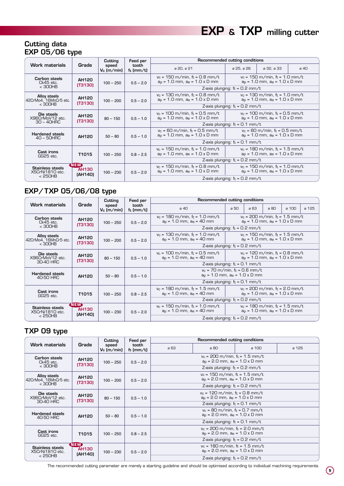### **Cutting data EXP 05/06 type**

|                                        |                                              | Cutting                | Feed per              | Recommended cutting conditions                                                     |                                                                                   |                                                                                    |      |  |  |  |  |
|----------------------------------------|----------------------------------------------|------------------------|-----------------------|------------------------------------------------------------------------------------|-----------------------------------------------------------------------------------|------------------------------------------------------------------------------------|------|--|--|--|--|
| <b>Work materials</b>                  | Grade                                        | speed<br>$V_c$ (m/min) | tooth<br>$f_t$ (mm/t) | ø 20, ø 21                                                                         | ø 25, ø 26                                                                        | ø 32, ø 33                                                                         | ø 40 |  |  |  |  |
| <b>Carbon steels</b><br>Ck45 etc.      | AH120<br>$100 - 250$<br>(T3130)<br>$<$ 300HB |                        | $0.5 - 2.0$           | $v_c = 150$ m/min, f <sub>t</sub> = 0.8 mm/t<br>$a_p = 1.0$ mm, $a_e = 1.0$ x D mm | $v_c = 150$ m/min, $f_t = 1.0$ mm/t<br>$a_p = 1.0$ mm, $a_e = 1.0$ x D mm         |                                                                                    |      |  |  |  |  |
|                                        |                                              |                        |                       | Z-axis plunging: $tt = 0.2$ mm/t                                                   |                                                                                   |                                                                                    |      |  |  |  |  |
| Alloy steels<br>42CrMo4, 16MnCr5 etc.  | AH120<br>$100 - 200$<br>(T3130)<br>$<$ 300HB |                        | $0.5 - 2.0$           | $v_c = 130$ m/min, ft = 0.8 mm/t<br>$aD$ = 1.0 mm, $aE$ = 1.0 x D mm               |                                                                                   | $v_c = 130$ m/min, ft = 1.0 mm/t<br>$aD$ = 1.0 mm, $aE$ = 1.0 x D mm               |      |  |  |  |  |
|                                        |                                              |                        |                       | Z-axis plunging: $f_t = 0.2$ mm/t                                                  |                                                                                   |                                                                                    |      |  |  |  |  |
| Die steels<br>AH120<br>X96CrMoV12 etc. |                                              | $80 - 150$             | $0.5 - 1.0$           | $v_c = 100$ m/min, f <sub>t</sub> = 0.5 mm/t<br>$a_p = 1.0$ mm, $a_e = 1.0$ x D mm |                                                                                   | $v_c = 100$ m/min, f <sub>t</sub> = 0.5 mm/t<br>$a_p = 1.0$ mm, $a_e = 1.0$ x D mm |      |  |  |  |  |
| 30 - 40HRC                             | (T3130)                                      |                        |                       |                                                                                    | Z-axis plunging: $f_t = 0.1$ mm/t                                                 |                                                                                    |      |  |  |  |  |
| <b>Hardened steels</b><br>40 - 50HRC   | AH120                                        | $50 - 80$              | $0.5 - 1.0$           | $v_c = 60$ m/min, ft = 0.5 mm/t<br>$a_p = 1.0$ mm, $a_e = 1.0$ x D mm              | $v_c = 60$ m/min, f <sub>t</sub> = 0.5 mm/t<br>$a_p = 1.0$ mm, $a_e = 1.0$ x D mm |                                                                                    |      |  |  |  |  |
|                                        |                                              |                        |                       | Z-axis plunging: $tt = 0.1$ mm/t                                                   |                                                                                   |                                                                                    |      |  |  |  |  |
| Cast irons<br>GG25 etc.                | T <sub>1015</sub>                            | $100 - 250$            | $0.8 - 2.5$           | $v_c = 150$ m/min, f <sub>t</sub> = 1.0 mm/t<br>$aD$ = 1.0 mm, $ae$ = 1.0 x D mm   | $v_c = 180$ m/min, ft = 1.5 mm/t<br>$aD$ = 1.0 mm, $aE$ = 1.0 x D mm              |                                                                                    |      |  |  |  |  |
|                                        |                                              |                        |                       | Z-axis plunging: $f_t = 0.2$ mm/t                                                  |                                                                                   |                                                                                    |      |  |  |  |  |
| Stainless steels<br>X5CrNi1810 etc.    | <b>(NEW)</b><br><b>AH130</b><br>(AH140)      | $100 - 230$            | $0.5 - 2.0$           | $v_c = 150$ m/min, f <sub>t</sub> = 0.8 mm/t<br>$aD$ = 1.0 mm, $aE$ = 1.0 x D mm   |                                                                                   | $v_c = 150$ m/min, ft = 1.0 mm/t<br>$aD$ = 1.0 mm, $aE$ = 1.0 x D mm               |      |  |  |  |  |
| < 250HB                                |                                              |                        |                       |                                                                                    | Z-axis plunging: $f_t = 0.2$ mm/t                                                 |                                                                                    |      |  |  |  |  |

### **EXP/TXP 05/06/08 type**

|                                            |                                              | Cutting                         | Feed per              | Recommended cutting conditions                                                                                                                      |                                                                      |                                                                           |             |       |       |  |  |
|--------------------------------------------|----------------------------------------------|---------------------------------|-----------------------|-----------------------------------------------------------------------------------------------------------------------------------------------------|----------------------------------------------------------------------|---------------------------------------------------------------------------|-------------|-------|-------|--|--|
| <b>Work materials</b>                      | Grade                                        | speed<br>V <sub>c</sub> (m/min) | tooth<br>$t_t$ (mm/t) | $a$ 40                                                                                                                                              | ศ 50                                                                 | я 63                                                                      | <i>в</i> 80 | ø 100 | ด 125 |  |  |
| <b>Carbon steels</b><br>$Ck45$ etc.        | AH120<br>$100 - 250$<br>(T3130)<br>$<$ 300HB |                                 | $0.5 - 2.0$           | $v_c = 180$ m/min, ft = 1.0 mm/t<br>$v_c = 200$ m/min, f <sub>t</sub> = 1.5 mm/t<br>$aD$ = 1.0 mm, $aE$ = 1.0 x D mm<br>$aD$ = 1.0 mm, $ae$ = 40 mm |                                                                      |                                                                           |             |       |       |  |  |
|                                            |                                              |                                 |                       | Z-axis plunging: $f_t = 0.2$ mm/t                                                                                                                   |                                                                      |                                                                           |             |       |       |  |  |
| Alloy steels<br>42CrMo4, 16MnCr5 etc.      | AH120<br><b>IT31301</b>                      | $100 - 200$                     | $0.5 - 2.0$           | $v_c = 130$ m/min, ft = 1.0 mm/t<br>$aD = 1.0$ mm, $aE = 40$ mm                                                                                     |                                                                      | $v_c = 150$ m/min, ft = 1.5 mm/t<br>$a_p = 1.0$ mm, $a_e = 1.0$ x D mm    |             |       |       |  |  |
| $<$ 300HB                                  |                                              |                                 |                       | Z-axis plunging: $f_t = 0.2$ mm/t                                                                                                                   |                                                                      |                                                                           |             |       |       |  |  |
| Die steels<br>X96CrMoV12 etc.              | AH120<br>$80 - 150$<br><b>IT31301</b>        |                                 | $0.5 - 1.0$           | $v_c = 100$ m/min, ft = 0.5 mm/t<br>$aD$ = 1.0 mm, $ae$ = 40 mm                                                                                     | $v_c = 120$ m/min, ft = 0.8 mm/t<br>$aD$ = 1.0 mm, $aE$ = 1.0 x D mm |                                                                           |             |       |       |  |  |
| 30-40 HRC                                  |                                              |                                 |                       | Z-axis plunging: $f_t = 0.1$ mm/t                                                                                                                   |                                                                      |                                                                           |             |       |       |  |  |
| <b>Hardened steels</b><br>40-50 HRC        | AH120                                        | $50 - 80$                       | $0.5 - 1.0$           | $v_c = 70$ m/min, ft = 0.6 mm/t<br>$aD$ = 1.0 mm, $aE$ = 1.0 x D mm                                                                                 |                                                                      |                                                                           |             |       |       |  |  |
|                                            |                                              |                                 |                       | Z-axis plunging: $f_t = 0.1$ mm/t                                                                                                                   |                                                                      |                                                                           |             |       |       |  |  |
| Cast irons<br>GG25 etc.                    | T <sub>1015</sub><br>$100 - 250$             |                                 | $0.8 - 2.5$           | $v_c = 180$ m/min, f <sub>t</sub> = 1.5 mm/t<br>$a_p = 1.0$ mm, $a_e = 40$ mm                                                                       |                                                                      | $v_c$ = 200 m/min, $f_t$ = 2.0 mm/t<br>$a_p = 1.0$ mm, $a_e = 1.0$ x D mm |             |       |       |  |  |
|                                            |                                              |                                 |                       | Z-axis plunging: $f_t = 0.2$ mm/t                                                                                                                   |                                                                      |                                                                           |             |       |       |  |  |
| <b>Stainless steels</b><br>X5CrNi1810 etc. | <b>(NEW)</b><br><b>AH130</b><br>(AH140)      | $100 - 230$                     | $0.5 - 2.0$           | $v_c = 180$ m/min, ft = 1.5 mm/t<br>$v_c = 150$ m/min, ft = 1.0 mm/t<br>$a_p = 1.0$ mm, $a_e = 40$ mm<br>$aD = 1.0$ mm, $aE = 1.0$ x D mm           |                                                                      |                                                                           |             |       |       |  |  |
| < 250HB                                    |                                              |                                 |                       | Z-axis plunging: $f_t = 0.2$ mm/t                                                                                                                   |                                                                      |                                                                           |             |       |       |  |  |

### **TXP 09 type**

|                                       | Feed per<br>Cutting                    |                        |                       |                                                                      | Recommended cutting conditions                                                     |       |       |  |  |  |  |
|---------------------------------------|----------------------------------------|------------------------|-----------------------|----------------------------------------------------------------------|------------------------------------------------------------------------------------|-------|-------|--|--|--|--|
| <b>Work materials</b>                 | Grade                                  | speed<br>$V_c$ (m/min) | tooth<br>$f_t$ (mm/t) | ø 63                                                                 | ø 80                                                                               | ø 100 | ø 125 |  |  |  |  |
| Carbon steels<br>Ck45 etc.            | AH120<br>$100 - 250$<br>(T3130)        |                        | $0.5 - 2.0$           |                                                                      | $v_c = 200$ m/min, $f_t = 1.5$ mm/t<br>$a_p = 2.0$ mm, $a_e = 1.0$ x D mm          |       |       |  |  |  |  |
| < 300HB                               |                                        |                        |                       |                                                                      | Z-axis plunging: $f_t = 0.2$ mm/t                                                  |       |       |  |  |  |  |
| Alloy steels<br>42CrMo4, 16MnCr5 etc. | AH120                                  | $100 - 200$            | $0.5 - 2.0$           |                                                                      | $v_c = 150$ m/min, f <sub>t</sub> = 1.5 mm/t<br>$aD$ = 2.0 mm, $ae$ = 1.0 x D mm   |       |       |  |  |  |  |
| $<$ 300HB                             | (T3130)                                |                        |                       |                                                                      | Z-axis plunging: $f_t = 0.2$ mm/t                                                  |       |       |  |  |  |  |
| Die steels<br>X96CrMoV12 etc.         | AH120<br>(T3130)                       | $80 - 150$             | $0.5 - 1.0$           |                                                                      | $v_c = 120$ m/min, f <sub>t</sub> = 0.8 mm/t<br>$a_p = 2.0$ mm, $a_e = 1.0$ x D mm |       |       |  |  |  |  |
| 30-40 HRC                             |                                        |                        |                       |                                                                      | Z-axis plunging: $f_t = 0.1$ mm/t                                                  |       |       |  |  |  |  |
| <b>Hardened steels</b><br>40-50 HRC   | AH120                                  | $50 - 80$              | $0.5 - 1.0$           |                                                                      | $v_c = 80$ m/min, $f_t = 0.7$ mm/t<br>$a_p = 2.0$ mm, $a_e = 1.0$ x D mm           |       |       |  |  |  |  |
|                                       |                                        |                        |                       | Z-axis plunging: $f_t = 0.1$ mm/t                                    |                                                                                    |       |       |  |  |  |  |
| Cast irons<br>GG25 etc.               | T1015                                  | $100 - 250$            | $0.8 - 2.5$           | $v_c = 200$ m/min, ft = 2.0 mm/t<br>$aD$ = 2.0 mm, $ae$ = 1.0 x D mm |                                                                                    |       |       |  |  |  |  |
|                                       |                                        |                        |                       |                                                                      | Z-axis plunging: $f_t = 0.2$ mm/t                                                  |       |       |  |  |  |  |
| Stainless steels<br>X5CrNi1810 etc.   | <b>CNEW</b><br><b>AH130</b><br>(AH140) | $100 - 230$            | $0.5 - 2.0$           |                                                                      | $v_c = 180$ m/min, ft = 1.5 mm/t<br>$a_p = 2.0$ mm, $a_e = 1.0$ x D mm             |       |       |  |  |  |  |
| < 250HB                               |                                        |                        |                       |                                                                      | Z-axis plunging: $f_t = 0.2$ mm/t                                                  |       |       |  |  |  |  |

The recommended cutting parameter are merely a starting guideline and should be optimised according to individual machining requirements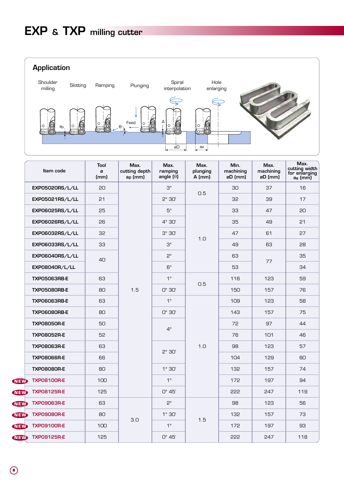**Application**



|            | Item code           | Tool<br>ø<br>(mm) | Max.<br>cutting depth<br>a <sub>p</sub> (mm) | Max.<br>ramping<br>angle $(\theta)$ | Max.<br>plunging<br>$A$ (mm) | Min.<br>machining<br>øD (mm) | Max.<br>machining<br>øD (mm) | Max.<br>cutting width<br>for enlarging<br>ae (mm) |
|------------|---------------------|-------------------|----------------------------------------------|-------------------------------------|------------------------------|------------------------------|------------------------------|---------------------------------------------------|
|            | EXP05020RS/L/LL     | 20                |                                              | $3^\circ$                           |                              | 30                           | 37                           | 16                                                |
|            | EXP05021RS/L/LL     | 21                |                                              | $5^\circ$ 30'                       | 0.5                          | 32                           | 39                           | 17                                                |
|            | EXP06025RS/L/LL     | 25                |                                              | $5^\circ$                           |                              | 33                           | 47                           | 20                                                |
|            | EXP06026RS/L/LL     | 26                |                                              | $4^\circ$ 30'                       |                              | 35                           | 49                           | 21                                                |
|            | EXP06032RS/L/LL     | 32                |                                              | $3^\circ 30'$                       | 1.0                          | 47                           | 61                           | 27                                                |
|            | EXP06033RS/L/LL     | 33                |                                              | $3^\circ$                           |                              | 49                           | 63                           | 28                                                |
|            | EXP06040RS/L/LL     | 40                |                                              | $2^{\circ}$                         |                              | 63                           | 77                           | 35                                                |
|            | EXP08040R/L/LL      |                   |                                              | $6^{\circ}$                         |                              | 53                           |                              | 34                                                |
|            | <b>TXP05063RB-E</b> | 63                |                                              | $1^{\circ}$                         | 0.5                          | 116                          | 123                          | 59                                                |
|            | <b>TXP05080RB-E</b> | 80                | 1.5                                          | $O^\circ$ 30'                       |                              | 150                          | 157                          | 76                                                |
|            | <b>TXP06063RB-E</b> | 63                |                                              | $1^{\circ}$                         |                              | 109                          | 123                          | 58                                                |
|            | <b>TXP06080RB-E</b> | 80                |                                              | $O^\circ$ 30'                       |                              | 143                          | 157                          | 75                                                |
|            | <b>TXP08050R-E</b>  | 50                |                                              | $4^\circ$                           |                              | 72                           | 97                           | 44                                                |
|            | <b>TXP08052R-E</b>  | 52                |                                              |                                     |                              | 76                           | 101                          | 46                                                |
|            | <b>TXP08063R-E</b>  | 63                |                                              | 5°30'                               | 1.0                          | 98                           | 123                          | 57                                                |
|            | <b>TXP08066R-E</b>  | 66                |                                              |                                     |                              | 104                          | 129                          | 60                                                |
|            | <b>TXP08080R-E</b>  | 80                |                                              | $1^\circ$ 30'                       |                              | 132                          | 157                          | 74                                                |
| <b>NEW</b> | <b>TXP08100R-E</b>  | 100               |                                              | $1^{\circ}$                         |                              | 172                          | 197                          | 94                                                |
| <b>NEW</b> | <b>TXP08125R-E</b>  | 125               |                                              | $0^\circ$ 45'                       |                              | 222                          | 247                          | 119                                               |
| <b>NEW</b> | <b>TXP09063R-E</b>  | 63                |                                              | $2^{\circ}$                         |                              | 98                           | 123                          | 56                                                |
| <b>NEW</b> | <b>TXP09080R-E</b>  | 80                | 3.0                                          | $1^\circ$ 30'                       | 1.5                          | 132                          | 157                          | 73                                                |
| <b>NEW</b> | <b>TXP09100R-E</b>  | 100               |                                              | $1^{\circ}$                         |                              | 172                          | 197                          | 93                                                |
| <b>NEW</b> | <b>TXP09125R-E</b>  | 125               |                                              | $0^\circ$ 45'                       |                              | 222                          | 247                          | 118                                               |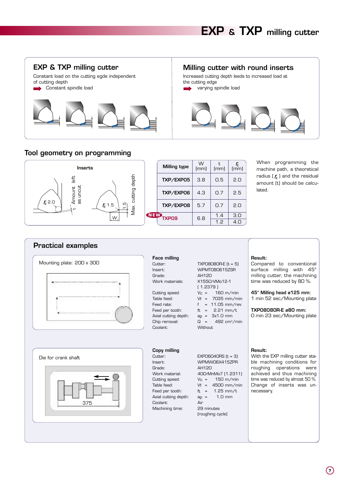

Increased cutting depth leeds to increased load at the cutting edge varying spindle load



### **Tool geometry on programming**



When programming the machine path, a theoretical radius  $(r_{\varepsilon})$  and the residual amount (t) should be calculated.

| Mounting plate: 200 x 300  | <b>Face milling</b><br>Cutter:<br>Insert:                                                                                                              | TXP08080R-E (t = 5)<br><b>WPMT080615ZSR</b>                                                                                                                                      | Result:<br>Compared to conventional<br>surface milling with 45°                                                                                                                                                       |
|----------------------------|--------------------------------------------------------------------------------------------------------------------------------------------------------|----------------------------------------------------------------------------------------------------------------------------------------------------------------------------------|-----------------------------------------------------------------------------------------------------------------------------------------------------------------------------------------------------------------------|
|                            | Grade:<br>Work materials:                                                                                                                              | AH120<br>X155CrVMo12-1<br>(1.2379)                                                                                                                                               | milling cutter, the machining<br>time was reduced by 80 %.                                                                                                                                                            |
|                            | Cutting speed:<br>Table feed:<br>Feed rate:                                                                                                            | 160 m/min<br>$V_C =$<br>$Vf = 7035$ mm/min<br>$= 11.05$ mm/rev                                                                                                                   | 45° Milling head ø125 mm:<br>1 min 52 sec/Mounting plate                                                                                                                                                              |
|                            | Feed per tooth:<br>Axial cutting depth:<br>Chip removal:<br>Coolant:                                                                                   | ft = $2.21$ mm/t<br>$a_D = 3x1.0$ mm<br>$Q = 492 \text{ cm}^3/\text{min}$<br>Without                                                                                             | TXP08080R-E ø80 mm:<br>O min 23 sec/Mounting plate                                                                                                                                                                    |
|                            |                                                                                                                                                        |                                                                                                                                                                                  |                                                                                                                                                                                                                       |
| Die for crank shaft<br>375 | Copy milling<br>Cutter:<br>Insert:<br>Grade:<br>Work material:<br>Cutting speed:<br>Table feed:<br>Feed per tooth:<br>Axial cutting depth:<br>Coolant: | EXPO6040RS $(t = 3)$<br>WPMW06X415ZPR<br>AH120<br>40CrMnMo7 (1.2311)<br>150 m/min<br>$V_C =$<br>$Vf = 4500$ mm/min<br>$1.25$ mm/t<br>$ft =$<br>$1.0 \text{ mm}$<br>$ap =$<br>Air | Result:<br>With the EXP milling cutter sta-<br>ble machining conditions for<br>roughing operations were<br>achieved and thus machining<br>time was reduced by almost 50 %.<br>Change of inserts was un-<br>necessary. |